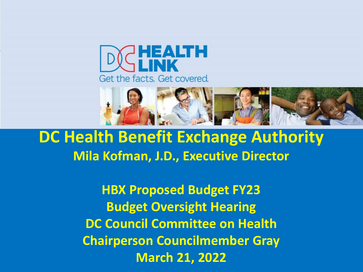



**DC Health Benefit Exchange Authority Mila Kofman, J.D., Executive Director**

> **HBX Proposed Budget FY23 Budget Oversight Hearing DC Council Committee on Health Chairperson Councilmember Gray March 21, 2022**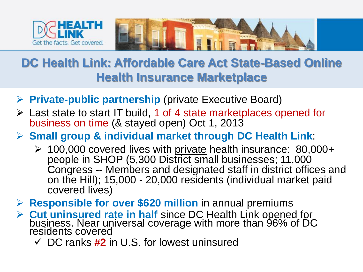



#### **DC Health Link: Affordable Care Act State-Based Online Health Insurance Marketplace**

- **Private-public partnership** (private Executive Board)
- Last state to start IT build, 1 of 4 state marketplaces opened for business on time (& stayed open) Oct 1, 2013
- **Small group & individual market through DC Health Link**:
	- 100,000 covered lives with private health insurance: 80,000+ people in SHOP (5,300 District small businesses; 11,000 Congress -- Members and designated staff in district offices and on the Hill); 15,000 - 20,000 residents (individual market paid covered lives)
- **Responsible for over \$620 million** in annual premiums
- **Cut uninsured rate in half** since DC Health Link opened for business. Near universal coverage with more than 96% of DC residents covered
	- DC ranks **#2** in U.S. for lowest uninsured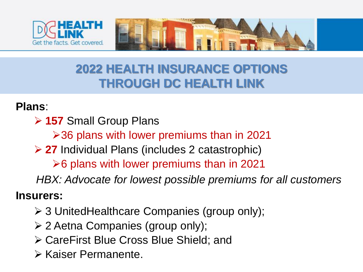



### **2022 HEALTH INSURANCE OPTIONS THROUGH DC HEALTH LINK**

#### **Plans**:

**157** Small Group Plans

36 plans with lower premiums than in 2021

**27** Individual Plans (includes 2 catastrophic)

 $\geq$  6 plans with lower premiums than in 2021

*HBX: Advocate for lowest possible premiums for all customers*

#### **Insurers:**

- 3 UnitedHealthcare Companies (group only);
- 2 Aetna Companies (group only);
- CareFirst Blue Cross Blue Shield; and
- Kaiser Permanente.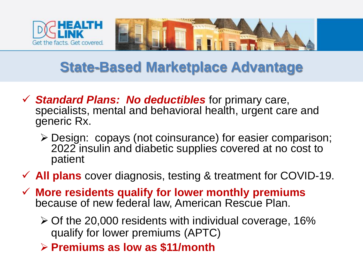



## **State-Based Marketplace Advantage**

- *Standard Plans: No deductibles* for primary care, specialists, mental and behavioral health, urgent care and generic Rx.
	- Design: copays (not coinsurance) for easier comparison; 2022 insulin and diabetic supplies covered at no cost to patient
- **All plans** cover diagnosis, testing & treatment for COVID-19.
- **More residents qualify for lower monthly premiums**  because of new federal law, American Rescue Plan.
	- $\geq$  Of the 20,000 residents with individual coverage, 16% qualify for lower premiums (APTC)
	- **Premiums as low as \$11/month**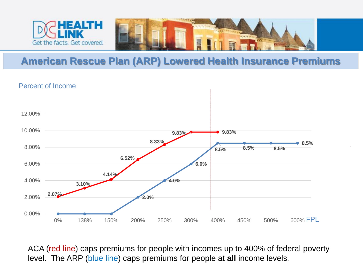



#### **American Rescue Plan (ARP) Lowered Health Insurance Premiums**

#### Percent of Income



ACA (red line) caps premiums for people with incomes up to 400% of federal poverty level. The ARP (blue line) caps premiums for people at **all** income levels.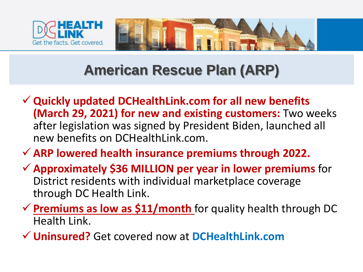



## **American Rescue Plan (ARP)**

- **Quickly updated DCHealthLink.com for all new benefits (March 29, 2021) for new and existing customers:** Two weeks after legislation was signed by President Biden, launched all new benefits on DCHealthLink.com.
- **ARP lowered health insurance premiums through 2022.**
- **Approximately \$36 MILLION per year in lower premiums** for District residents with individual marketplace coverage through DC Health Link.
- $\checkmark$  **Premiums as low as \$11/month** for quality health through DC Health Link.

**Uninsured?** Get covered now at **DCHealthLink.com**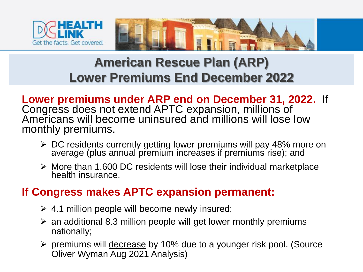



## **American Rescue Plan (ARP) Lower Premiums End December 2022**

**Lower premiums under ARP end on December 31, 2022.** If Congress does not extend APTC expansion, millions of Americans will become uninsured and millions will lose low monthly premiums.

- DC residents currently getting lower premiums will pay 48% more on average (plus annual premium increases if premiums rise); and
- $\triangleright$  More than 1,600 DC residents will lose their individual marketplace health insurance.

#### **If Congress makes APTC expansion permanent:**

- $\geq 4.1$  million people will become newly insured;
- $\ge$  an additional 8.3 million people will get lower monthly premiums nationally;
- ▶ premiums will decrease by 10% due to a younger risk pool. (Source Oliver Wyman Aug 2021 Analysis)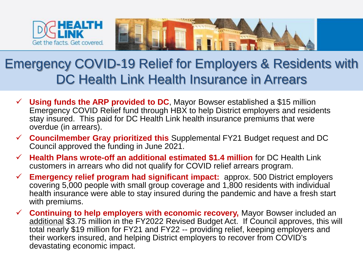

## Emergency COVID-19 Relief for Employers & Residents with DC Health Link Health Insurance in Arrears

- $\checkmark$  Using funds the ARP provided to DC, Mayor Bowser established a \$15 million Emergency COVID Relief fund through HBX to help District employers and residents stay insured. This paid for DC Health Link health insurance premiums that were overdue (in arrears).
- **Councilmember Gray prioritized this** Supplemental FY21 Budget request and DC Council approved the funding in June 2021.
- **Health Plans wrote-off an additional estimated \$1.4 million** for DC Health Link customers in arrears who did not qualify for COVID relief arrears program.
- **Emergency relief program had significant impact:** approx. 500 District employers covering 5,000 people with small group coverage and 1,800 residents with individual health insurance were able to stay insured during the pandemic and have a fresh start with premiums.
- **Continuing to help employers with economic recovery,** Mayor Bowser included an additional \$3.75 million in the FY2022 Revised Budget Act. If Council approves, this will total nearly \$19 million for FY21 and FY22 -- providing relief, keeping employers and their workers insured, and helping District employers to recover from COVID's devastating economic impact.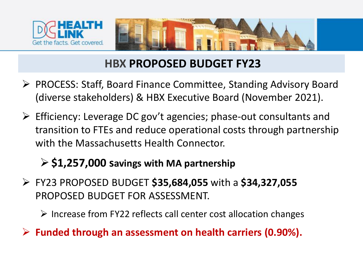



#### **HBX PROPOSED BUDGET FY23**

- ▶ PROCESS: Staff, Board Finance Committee, Standing Advisory Board (diverse stakeholders) & HBX Executive Board (November 2021).
- $\triangleright$  Efficiency: Leverage DC gov't agencies; phase-out consultants and transition to FTEs and reduce operational costs through partnership with the Massachusetts Health Connector.

#### **\$1,257,000 savings with MA partnership**

- FY23 PROPOSED BUDGET **\$35,684,055** with a **\$34,327,055**  PROPOSED BUDGET FOR ASSESSMENT.
	- $\triangleright$  Increase from FY22 reflects call center cost allocation changes
- **Funded through an assessment on health carriers (0.90%).**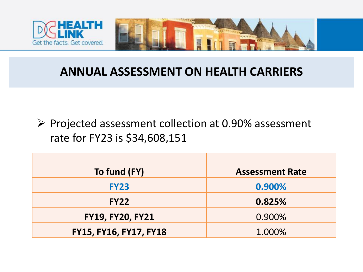



#### **ANNUAL ASSESSMENT ON HEALTH CARRIERS**

 $\triangleright$  Projected assessment collection at 0.90% assessment rate for FY23 is \$34,608,151

| To fund (FY)            | <b>Assessment Rate</b> |
|-------------------------|------------------------|
| <b>FY23</b>             | 0.900%                 |
| <b>FY22</b>             | 0.825%                 |
| <b>FY19, FY20, FY21</b> | 0.900%                 |
| FY15, FY16, FY17, FY18  | 1.000%                 |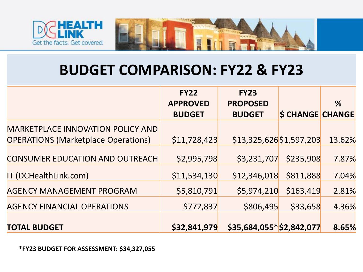



## **BUDGET COMPARISON: FY22 & FY23**

|                                                                                 | <b>FY22</b><br><b>APPROVED</b> | <b>FY23</b><br><b>PROPOSED</b> |                         | %      |
|---------------------------------------------------------------------------------|--------------------------------|--------------------------------|-------------------------|--------|
|                                                                                 | <b>BUDGET</b>                  | <b>BUDGET</b>                  | <b>\$ CHANGE CHANGE</b> |        |
| MARKETPLACE INNOVATION POLICY AND<br><b>OPERATIONS (Marketplace Operations)</b> | \$11,728,423                   | $$13,325,626$ \$1,597,203      |                         | 13.62% |
| <b>CONSUMER EDUCATION AND OUTREACH</b>                                          | \$2,995,798                    | \$3,231,707                    | \$235,908               | 7.87%  |
| IT (DCHealthLink.com)                                                           | \$11,534,130                   | \$12,346,018                   | \$811,888               | 7.04%  |
| <b>AGENCY MANAGEMENT PROGRAM</b>                                                | \$5,810,791                    | \$5,974,210                    | \$163,419               | 2.81%  |
| <b>AGENCY FINANCIAL OPERATIONS</b>                                              | \$772,837                      | \$806,495                      | \$33,658                | 4.36%  |
| <b>TOTAL BUDGET</b>                                                             | \$32,841,979                   | $$35,684,055*$ \$2,842,077     |                         | 8.65%  |

**\*FY23 BUDGET FOR ASSESSMENT: \$34,327,055**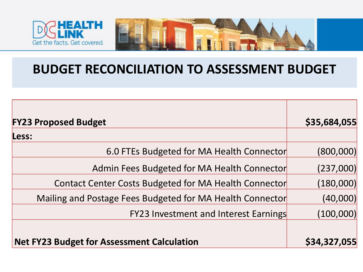



| <b>FY23 Proposed Budget</b>                               | \$35,684,055 |
|-----------------------------------------------------------|--------------|
| Less:                                                     |              |
| 6.0 FTEs Budgeted for MA Health Connector                 | (800,000)    |
| Admin Fees Budgeted for MA Health Connector               | (237,000)    |
| Contact Center Costs Budgeted for MA Health Connector     | (180,000)    |
| Mailing and Postage Fees Budgeted for MA Health Connector | (40,000)     |
| <b>FY23 Investment and Interest Earnings</b>              | (100,000)    |
|                                                           |              |
| <b>Net FY23 Budget for Assessment Calculation</b>         | \$34,327,055 |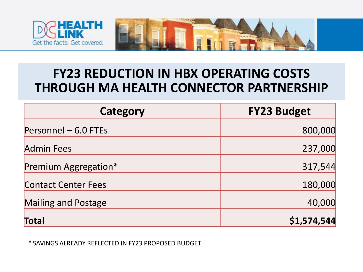



### **FY23 REDUCTION IN HBX OPERATING COSTS THROUGH MA HEALTH CONNECTOR PARTNERSHIP**

| Category                   | <b>FY23 Budget</b> |
|----------------------------|--------------------|
| Personnel - 6.0 FTEs       | 800,000            |
| <b>Admin Fees</b>          | 237,000            |
| Premium Aggregation*       | 317,544            |
| <b>Contact Center Fees</b> | 180,000            |
| <b>Mailing and Postage</b> | 40,000             |
| Total                      | \$1,574,544        |

*\** SAVINGS ALREADY REFLECTED IN FY23 PROPOSED BUDGET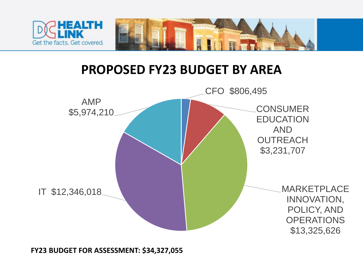

#### **PROPOSED FY23 BUDGET BY AREA**

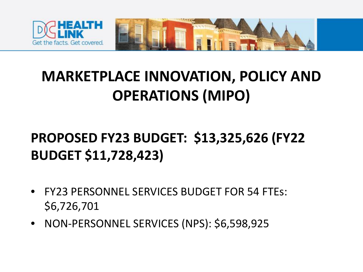

## **MARKETPLACE INNOVATION, POLICY AND OPERATIONS (MIPO)**

## **PROPOSED FY23 BUDGET: \$13,325,626 (FY22 BUDGET \$11,728,423)**

- FY23 PERSONNEL SERVICES BUDGET FOR 54 FTEs: \$6,726,701
- NON-PERSONNEL SERVICES (NPS): \$6,598,925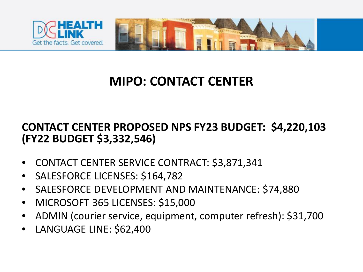

## **MIPO: CONTACT CENTER**

#### **CONTACT CENTER PROPOSED NPS FY23 BUDGET: \$4,220,103 (FY22 BUDGET \$3,332,546)**

- CONTACT CENTER SERVICE CONTRACT: \$3,871,341
- SALESFORCE LICENSES: \$164,782
- SALESFORCE DEVELOPMENT AND MAINTENANCE: \$74,880
- MICROSOFT 365 LICENSES: \$15,000
- ADMIN (courier service, equipment, computer refresh): \$31,700
- LANGUAGE LINE: \$62,400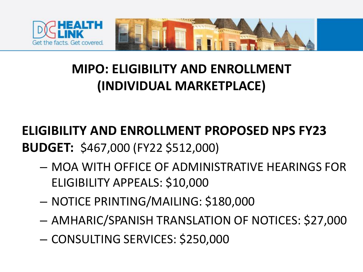

## **MIPO: ELIGIBILITY AND ENROLLMENT (INDIVIDUAL MARKETPLACE)**

## **ELIGIBILITY AND ENROLLMENT PROPOSED NPS FY23 BUDGET:** \$467,000 (FY22 \$512,000)

- MOA WITH OFFICE OF ADMINISTRATIVE HEARINGS FOR ELIGIBILITY APPEALS: \$10,000
- NOTICE PRINTING/MAILING: \$180,000
- AMHARIC/SPANISH TRANSLATION OF NOTICES: \$27,000
- CONSULTING SERVICES: \$250,000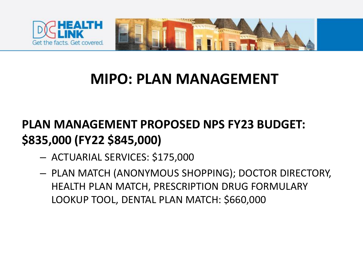



## **MIPO: PLAN MANAGEMENT**

## **PLAN MANAGEMENT PROPOSED NPS FY23 BUDGET: \$835,000 (FY22 \$845,000)**

- ACTUARIAL SERVICES: \$175,000
- PLAN MATCH (ANONYMOUS SHOPPING); DOCTOR DIRECTORY, HEALTH PLAN MATCH, PRESCRIPTION DRUG FORMULARY LOOKUP TOOL, DENTAL PLAN MATCH: \$660,000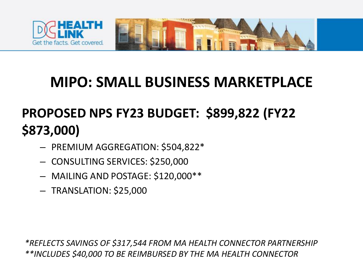

## **MIPO: SMALL BUSINESS MARKETPLACE**

## **PROPOSED NPS FY23 BUDGET: \$899,822 (FY22 \$873,000)**

- PREMIUM AGGREGATION: \$504,822\*
- CONSULTING SERVICES: \$250,000
- MAILING AND POSTAGE: \$120,000\*\*
- TRANSLATION: \$25,000

*\*REFLECTS SAVINGS OF \$317,544 FROM MA HEALTH CONNECTOR PARTNERSHIP \*\*INCLUDES \$40,000 TO BE REIMBURSED BY THE MA HEALTH CONNECTOR*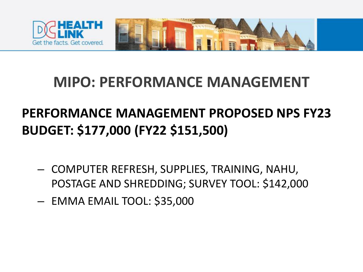

## **MIPO: PERFORMANCE MANAGEMENT**

## **PERFORMANCE MANAGEMENT PROPOSED NPS FY23 BUDGET: \$177,000 (FY22 \$151,500)**

- COMPUTER REFRESH, SUPPLIES, TRAINING, NAHU, POSTAGE AND SHREDDING; SURVEY TOOL: \$142,000
- EMMA EMAIL TOOL: \$35,000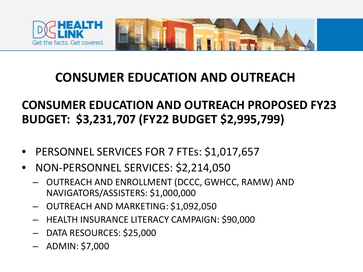

#### **CONSUMER EDUCATION AND OUTREACH**

#### **CONSUMER EDUCATION AND OUTREACH PROPOSED FY23 BUDGET: \$3,231,707 (FY22 BUDGET \$2,995,799)**

- PERSONNEL SERVICES FOR 7 FTEs: \$1,017,657
- NON-PERSONNEL SERVICES: \$2,214,050
	- OUTREACH AND ENROLLMENT (DCCC, GWHCC, RAMW) AND NAVIGATORS/ASSISTERS: \$1,000,000
	- OUTREACH AND MARKETING: \$1,092,050
	- HEALTH INSURANCE LITERACY CAMPAIGN: \$90,000
	- DATA RESOURCES: \$25,000
	- ADMIN: \$7,000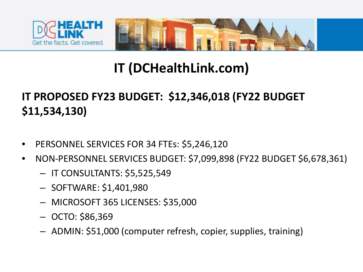



## **IT (DCHealthLink.com)**

#### **IT PROPOSED FY23 BUDGET: \$12,346,018 (FY22 BUDGET \$11,534,130)**

- PERSONNEL SERVICES FOR 34 FTEs: \$5,246,120
- NON-PERSONNEL SERVICES BUDGET: \$7,099,898 (FY22 BUDGET \$6,678,361)
	- IT CONSULTANTS: \$5,525,549
	- SOFTWARE: \$1,401,980
	- MICROSOFT 365 LICENSES: \$35,000
	- OCTO: \$86,369
	- ADMIN: \$51,000 (computer refresh, copier, supplies, training)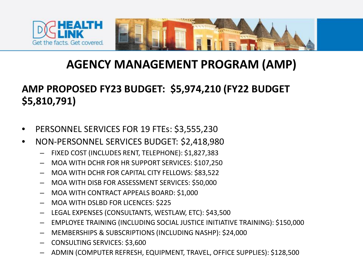

#### **AGENCY MANAGEMENT PROGRAM (AMP)**

#### **AMP PROPOSED FY23 BUDGET: \$5,974,210 (FY22 BUDGET \$5,810,791)**

- PERSONNEL SERVICES FOR 19 FTEs: \$3,555,230
- NON-PERSONNEL SERVICES BUDGET: \$2,418,980
	- FIXED COST (INCLUDES RENT, TELEPHONE): \$1,827,383
	- MOA WITH DCHR FOR HR SUPPORT SERVICES: \$107,250
	- MOA WITH DCHR FOR CAPITAL CITY FELLOWS: \$83,522
	- MOA WITH DISB FOR ASSESSMENT SERVICES: \$50,000
	- MOA WITH CONTRACT APPEALS BOARD: \$1,000
	- MOA WITH DSLBD FOR LICENCES: \$225
	- LEGAL EXPENSES (CONSULTANTS, WESTLAW, ETC): \$43,500
	- EMPLOYEE TRAINING (INCLUDING SOCIAL JUSTICE INITIATIVE TRAINING): \$150,000
	- MEMBERSHIPS & SUBSCRIPTIONS (INCLUDING NASHP): \$24,000
	- CONSULTING SERVICES: \$3,600
	- ADMIN (COMPUTER REFRESH, EQUIPMENT, TRAVEL, OFFICE SUPPLIES): \$128,500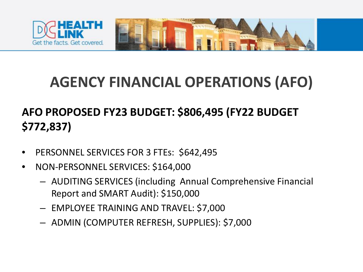

## **AGENCY FINANCIAL OPERATIONS (AFO)**

#### **AFO PROPOSED FY23 BUDGET: \$806,495 (FY22 BUDGET \$772,837)**

- PERSONNEL SERVICES FOR 3 FTEs: \$642,495
- NON-PERSONNEL SERVICES: \$164,000
	- AUDITING SERVICES (including Annual Comprehensive Financial Report and SMART Audit): \$150,000
	- EMPLOYEE TRAINING AND TRAVEL: \$7,000
	- ADMIN (COMPUTER REFRESH, SUPPLIES): \$7,000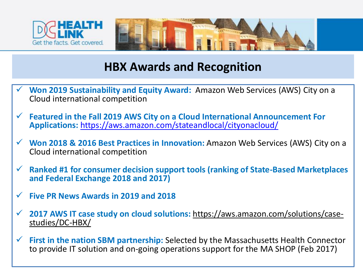



#### **HBX Awards and Recognition**

- **Won 2019 Sustainability and Equity Award:** Amazon Web Services (AWS) City on a Cloud international competition
- **Featured in the Fall 2019 AWS City on a Cloud International Announcement For Applications:** <https://aws.amazon.com/stateandlocal/cityonacloud/>
- **Won 2018 & 2016 Best Practices in Innovation:** Amazon Web Services (AWS) City on a Cloud international competition
- **Ranked #1 for consumer decision support tools (ranking of State-Based Marketplaces and Federal Exchange 2018 and 2017)**
- **Five PR News Awards in 2019 and 2018**
- **[2017 AWS IT case study on cloud solutions:](https://aws.amazon.com/solutions/case-studies/DC-HBX/)** https://aws.amazon.com/solutions/case- studies/DC-HBX/
- **First in the nation SBM partnership:** Selected by the Massachusetts Health Connector to provide IT solution and on-going operations support for the MA SHOP (Feb 2017)